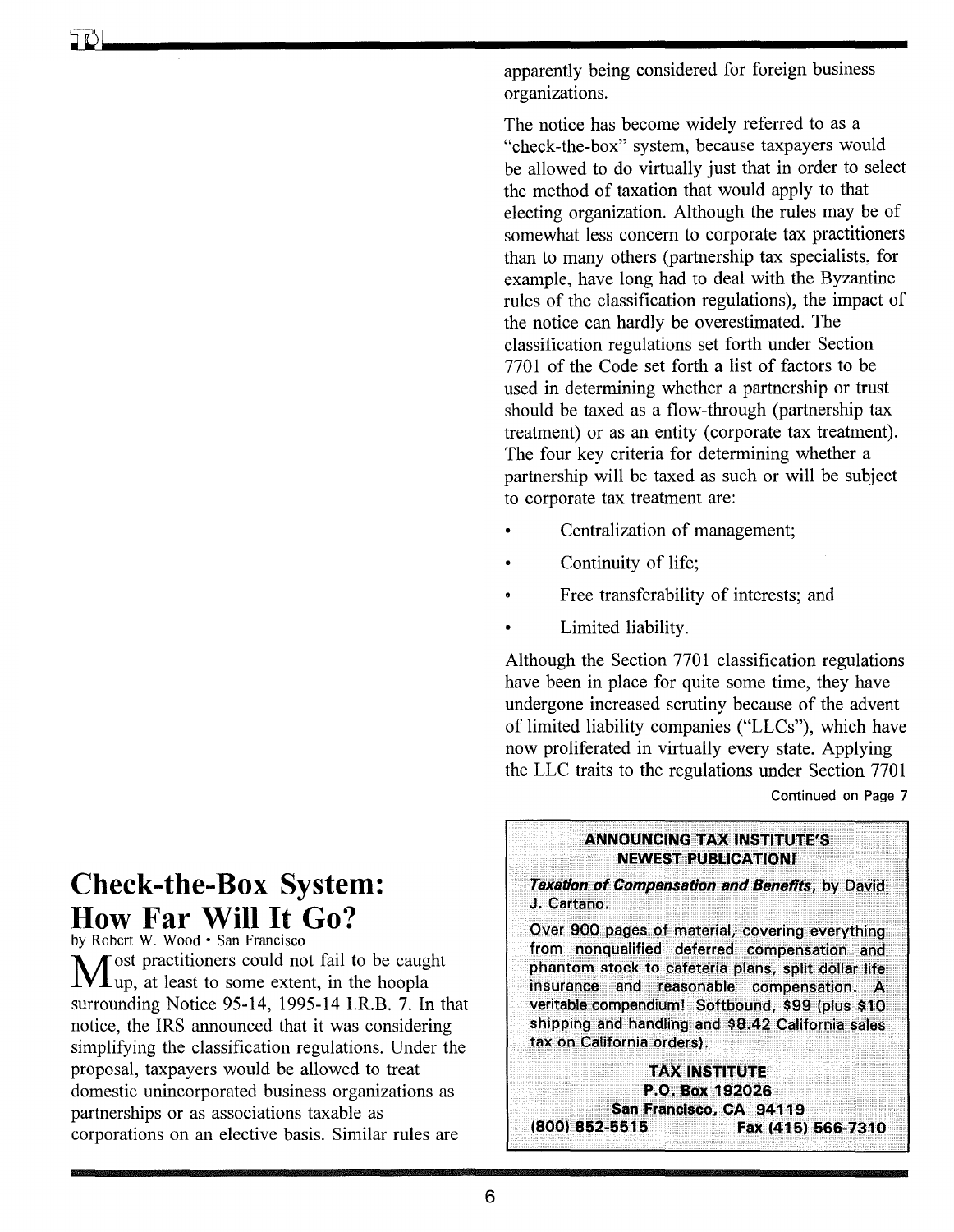apparently being considered for foreign business organizations.

The notice has become widely referred to as a "check-the-box" system, because taxpayers would be allowed to do virtually just that in order to select the method of taxation that would apply to that electing organization. Although the rules may be of somewhat less concern to corporate tax practitioners than to many others (partnership tax specialists, for example, have long had to deal with the Byzantine rules of the classification regulations), the impact of the notice can hardly be overestimated. The classification regulations set forth under Section 7701 of the Code set forth a list of factors to be used in determining whether a partnership or trust should be taxed as a flow-through (partnership tax treatment) or as an entity (corporate tax treatment). The four key criteria for determining whether a partnership will be taxed as such or will be subject to corporate tax treatment are:

- Centralization of management;
- Continuity of life;
- Free transferability of interests; and
- Limited liability.

Although the Section 7701 classification regulations have been in place for quite some time, they have undergone increased scrutiny because of the advent of limited liability companies ("LLCs"), which have now proliferated in virtually every state. Applying the LLC traits to the regulations under Section 7701

## Continued on Page 7



# Check-the-Box System: How Far Will It Go?

by Robert W. Wood • San Francisco Most practitioners could not fail to be caught up, at least to some extent, in the hoopla surrounding Notice 95-14, 1995-14 I.R.B. 7. In that notice, the IRS announced that it was considering simplifying the classification regulations. Under the proposal, taxpayers would be allowed to treat domestic unincorporated business organizations as partnerships or as associations taxable as corporations on an elective basis. Similar rules are